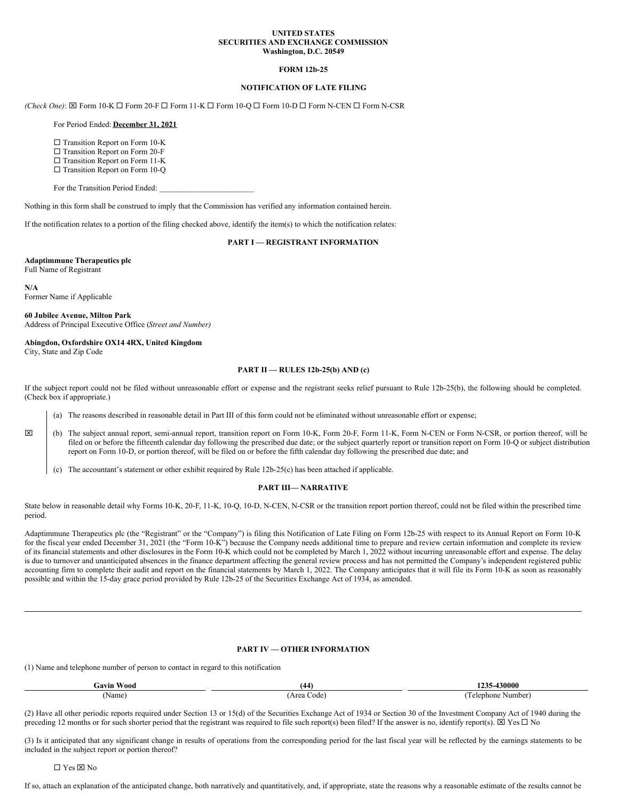### **UNITED STATES SECURITIES AND EXCHANGE COMMISSION Washington, D.C. 20549**

## **FORM 12b-25**

# **NOTIFICATION OF LATE FILING**

 $(Check One): \boxtimes$  Form 10-K  $\square$  Form 20-F  $\square$  Form 11-K  $\square$  Form 10-Q  $\square$  Form 10-D  $\square$  Form N-CEN  $\square$  Form N-CSR

#### For Period Ended: **December 31, 2021**

 $\square$  Transition Report on Form 10-K

 $\square$  Transition Report on Form 20-F

 $\Box$  Transition Report on Form 11-K

□ Transition Report on Form 10-Q

For the Transition Period Ended:

Nothing in this form shall be construed to imply that the Commission has verified any information contained herein.

If the notification relates to a portion of the filing checked above, identify the item(s) to which the notification relates:

**PART I — REGISTRANT INFORMATION**

## **Adaptimmune Therapeutics plc**

Full Name of Registrant

**N/A** Former Name if Applicable

**60 Jubilee Avenue, Milton Park** Address of Principal Executive Office (*Street and Number)*

#### **Abingdon, Oxfordshire OX14 4RX, United Kingdom**

City, State and Zip Code

#### **PART II — RULES 12b-25(b) AND (c)**

If the subject report could not be filed without unreasonable effort or expense and the registrant seeks relief pursuant to Rule 12b-25(b), the following should be completed. (Check box if appropriate.)

(a) The reasons described in reasonable detail in Part III of this form could not be eliminated without unreasonable effort or expense;

x (b) The subject annual report, semi-annual report, transition report on Form 10-K, Form 20-F, Form 11-K, Form N-CEN or Form N-CSR, or portion thereof, will be filed on or before the fifteenth calendar day following the prescribed due date; or the subject quarterly report or transition report on Form 10-Q or subject distribution report on Form 10-D, or portion thereof, will be filed on or before the fifth calendar day following the prescribed due date; and

(c) The accountant's statement or other exhibit required by Rule 12b-25(c) has been attached if applicable.

### **PART III— NARRATIVE**

State below in reasonable detail why Forms 10-K, 20-F, 11-K, 10-Q, 10-D, N-CEN, N-CSR or the transition report portion thereof, could not be filed within the prescribed time period.

Adaptimmune Therapeutics plc (the "Registrant" or the "Company") is filing this Notification of Late Filing on Form 12b-25 with respect to its Annual Report on Form 10-K for the fiscal year ended December 31, 2021 (the "Form 10-K") because the Company needs additional time to prepare and review certain information and complete its review of its financial statements and other disclosures in the Form 10-K which could not be completed by March 1, 2022 without incurring unreasonable effort and expense. The delay is due to turnover and unanticipated absences in the finance department affecting the general review process and has not permitted the Company's independent registered public accounting firm to complete their audit and report on the financial statements by March 1, 2022. The Company anticipates that it will file its Form 10-K as soon as reasonably possible and within the 15-day grace period provided by Rule 12b-25 of the Securities Exchange Act of 1934, as amended.

# **PART IV — OTHER INFORMATION**

(1) Name and telephone number of person to contact in regard to this notification

| Gavin<br><b>Wood</b> | (44)                      | -430000<br>192.     |
|----------------------|---------------------------|---------------------|
| Name,                | Area<br>Code <sup>'</sup> | Number:<br>elephone |

(2) Have all other periodic reports required under Section 13 or 15(d) of the Securities Exchange Act of 1934 or Section 30 of the Investment Company Act of 1940 during the preceding 12 months or for such shorter period that the registrant was required to file such report(s) been filed? If the answer is no, identify report(s).  $\boxtimes$  Yes  $\square$  No

(3) Is it anticipated that any significant change in results of operations from the corresponding period for the last fiscal year will be reflected by the earnings statements to be included in the subject report or portion thereof?

□ Yes ⊠ No

If so, attach an explanation of the anticipated change, both narratively and quantitatively, and, if appropriate, state the reasons why a reasonable estimate of the results cannot be